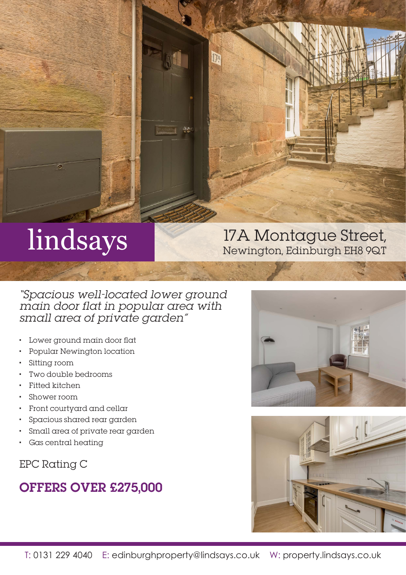# lindsays

## 17A Montague Street, Newington, Edinburgh EH8 9QT

"Spacious well-located lower ground main door flat in popular area with small area of private garden"

- Lower ground main door flat
- Popular Newington location
- Sitting room
- Two double bedrooms
- Fitted kitchen
- Shower room
- Front courtyard and cellar
- Spacious shared rear garden
- Small area of private rear garden
- Gas central heating

EPC Rating C

## OFFERS OVER £275,000





A.